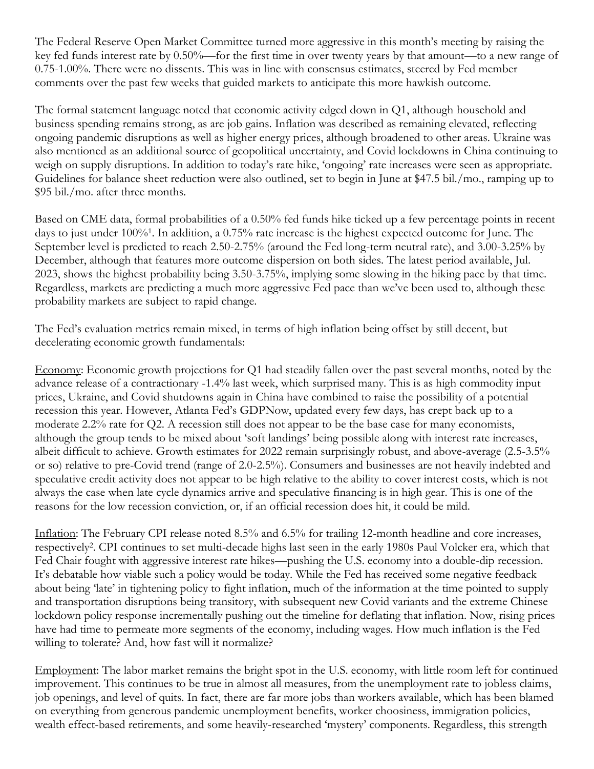The Federal Reserve Open Market Committee turned more aggressive in this month's meeting by raising the key fed funds interest rate by 0.50%—for the first time in over twenty years by that amount—to a new range of 0.75-1.00%. There were no dissents. This was in line with consensus estimates, steered by Fed member comments over the past few weeks that guided markets to anticipate this more hawkish outcome.

The formal statement language noted that economic activity edged down in Q1, although household and business spending remains strong, as are job gains. Inflation was described as remaining elevated, reflecting ongoing pandemic disruptions as well as higher energy prices, although broadened to other areas. Ukraine was also mentioned as an additional source of geopolitical uncertainty, and Covid lockdowns in China continuing to weigh on supply disruptions. In addition to today's rate hike, 'ongoing' rate increases were seen as appropriate. Guidelines for balance sheet reduction were also outlined, set to begin in June at \$47.5 bil./mo., ramping up to \$95 bil./mo. after three months.

Based on CME data, formal probabilities of a 0.50% fed funds hike ticked up a few percentage points in recent days to just under 100%<sup>1</sup> . In addition, a 0.75% rate increase is the highest expected outcome for June. The September level is predicted to reach 2.50-2.75% (around the Fed long-term neutral rate), and 3.00-3.25% by December, although that features more outcome dispersion on both sides. The latest period available, Jul. 2023, shows the highest probability being 3.50-3.75%, implying some slowing in the hiking pace by that time. Regardless, markets are predicting a much more aggressive Fed pace than we've been used to, although these probability markets are subject to rapid change.

The Fed's evaluation metrics remain mixed, in terms of high inflation being offset by still decent, but decelerating economic growth fundamentals:

Economy: Economic growth projections for Q1 had steadily fallen over the past several months, noted by the advance release of a contractionary -1.4% last week, which surprised many. This is as high commodity input prices, Ukraine, and Covid shutdowns again in China have combined to raise the possibility of a potential recession this year. However, Atlanta Fed's GDPNow, updated every few days, has crept back up to a moderate 2.2% rate for Q2. A recession still does not appear to be the base case for many economists, although the group tends to be mixed about 'soft landings' being possible along with interest rate increases, albeit difficult to achieve. Growth estimates for 2022 remain surprisingly robust, and above-average (2.5-3.5% or so) relative to pre-Covid trend (range of 2.0-2.5%). Consumers and businesses are not heavily indebted and speculative credit activity does not appear to be high relative to the ability to cover interest costs, which is not always the case when late cycle dynamics arrive and speculative financing is in high gear. This is one of the reasons for the low recession conviction, or, if an official recession does hit, it could be mild.

Inflation: The February CPI release noted 8.5% and 6.5% for trailing 12-month headline and core increases, respectively<sup>2</sup>. CPI continues to set multi-decade highs last seen in the early 1980s Paul Volcker era, which that Fed Chair fought with aggressive interest rate hikes—pushing the U.S. economy into a double-dip recession. It's debatable how viable such a policy would be today. While the Fed has received some negative feedback about being 'late' in tightening policy to fight inflation, much of the information at the time pointed to supply and transportation disruptions being transitory, with subsequent new Covid variants and the extreme Chinese lockdown policy response incrementally pushing out the timeline for deflating that inflation. Now, rising prices have had time to permeate more segments of the economy, including wages. How much inflation is the Fed willing to tolerate? And, how fast will it normalize?

Employment: The labor market remains the bright spot in the U.S. economy, with little room left for continued improvement. This continues to be true in almost all measures, from the unemployment rate to jobless claims, job openings, and level of quits. In fact, there are far more jobs than workers available, which has been blamed on everything from generous pandemic unemployment benefits, worker choosiness, immigration policies, wealth effect-based retirements, and some heavily-researched 'mystery' components. Regardless, this strength